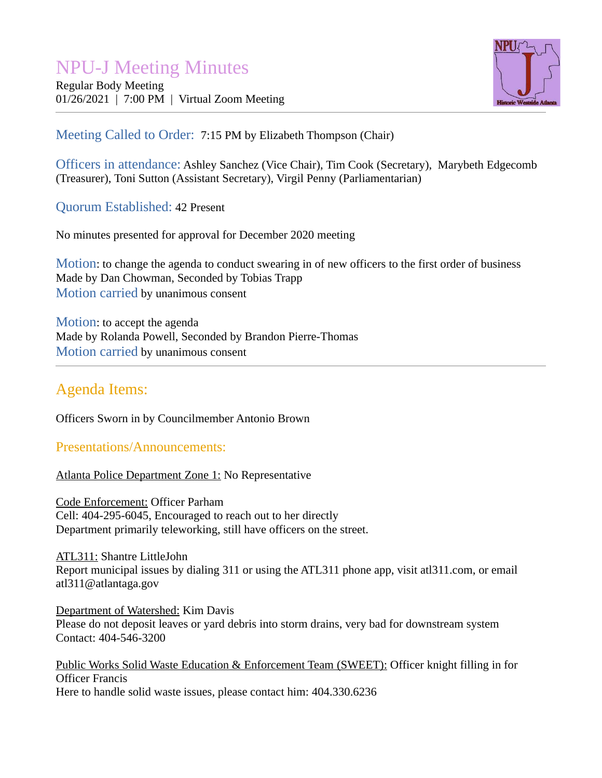# NPU-J Meeting Minutes

Regular Body Meeting 01/26/2021 | 7:00 PM | Virtual Zoom Meeting



### Meeting Called to Order: 7:15 PM by Elizabeth Thompson (Chair)

Officers in attendance: Ashley Sanchez (Vice Chair), Tim Cook (Secretary), Marybeth Edgecomb (Treasurer), Toni Sutton (Assistant Secretary), Virgil Penny (Parliamentarian)

Quorum Established: 42 Present

No minutes presented for approval for December 2020 meeting

Motion: to change the agenda to conduct swearing in of new officers to the first order of business Made by Dan Chowman, Seconded by Tobias Trapp Motion carried by unanimous consent

Motion: to accept the agenda Made by Rolanda Powell, Seconded by Brandon Pierre-Thomas Motion carried by unanimous consent

## Agenda Items:

Officers Sworn in by Councilmember Antonio Brown

Presentations/Announcements:

Atlanta Police Department Zone 1: No Representative

Code Enforcement: Officer Parham Cell: 404-295-6045, Encouraged to reach out to her directly Department primarily teleworking, still have officers on the street.

ATL311: Shantre LittleJohn Report municipal issues by dialing 311 or using the ATL311 phone app, visit atl311.com, or email atl311@atlantaga.gov

Department of Watershed: Kim Davis Please do not deposit leaves or yard debris into storm drains, very bad for downstream system Contact: 404-546-3200

Public Works Solid Waste Education & Enforcement Team (SWEET): Officer knight filling in for Officer Francis Here to handle solid waste issues, please contact him: 404.330.6236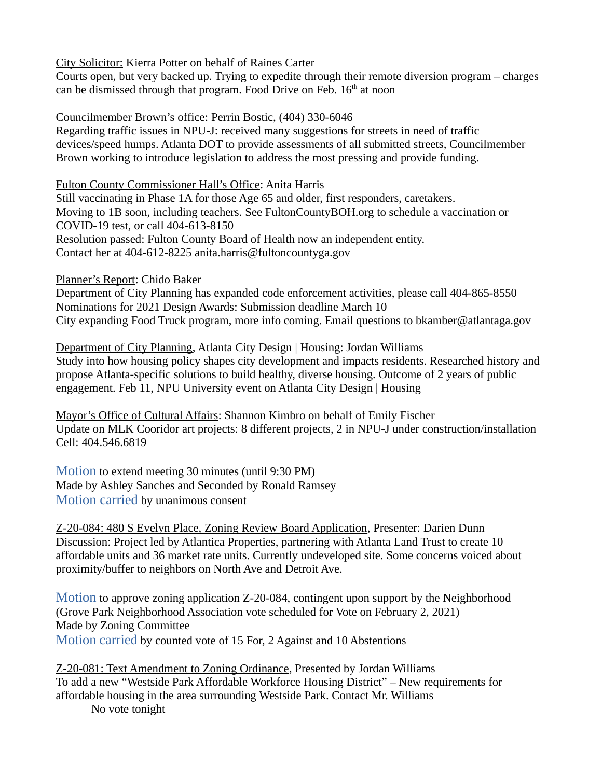City Solicitor: Kierra Potter on behalf of Raines Carter

Courts open, but very backed up. Trying to expedite through their remote diversion program – charges can be dismissed through that program. Food Drive on Feb.  $16<sup>th</sup>$  at noon

### Councilmember Brown's office: Perrin Bostic, (404) 330-6046

Regarding traffic issues in NPU-J: received many suggestions for streets in need of traffic devices/speed humps. Atlanta DOT to provide assessments of all submitted streets, Councilmember Brown working to introduce legislation to address the most pressing and provide funding.

Fulton County Commissioner Hall's Office: Anita Harris

Still vaccinating in Phase 1A for those Age 65 and older, first responders, caretakers. Moving to 1B soon, including teachers. See FultonCountyBOH.org to schedule a vaccination or COVID-19 test, or call 404-613-8150 Resolution passed: Fulton County Board of Health now an independent entity. Contact her at 404-612-8225 anita.harris@fultoncountyga.gov

Planner's Report: Chido Baker

Department of City Planning has expanded code enforcement activities, please call 404-865-8550 Nominations for 2021 Design Awards: Submission deadline March 10 City expanding Food Truck program, more info coming. Email questions to bkamber@atlantaga.gov

Department of City Planning, Atlanta City Design | Housing: Jordan Williams Study into how housing policy shapes city development and impacts residents. Researched history and propose Atlanta-specific solutions to build healthy, diverse housing. Outcome of 2 years of public engagement. Feb 11, NPU University event on Atlanta City Design | Housing

Mayor's Office of Cultural Affairs: Shannon Kimbro on behalf of Emily Fischer Update on MLK Cooridor art projects: 8 different projects, 2 in NPU-J under construction/installation Cell: 404.546.6819

Motion to extend meeting 30 minutes (until 9:30 PM) Made by Ashley Sanches and Seconded by Ronald Ramsey Motion carried by unanimous consent

Z-20-084: 480 S Evelyn Place, Zoning Review Board Application, Presenter: Darien Dunn Discussion: Project led by Atlantica Properties, partnering with Atlanta Land Trust to create 10 affordable units and 36 market rate units. Currently undeveloped site. Some concerns voiced about proximity/buffer to neighbors on North Ave and Detroit Ave.

Motion to approve zoning application Z-20-084, contingent upon support by the Neighborhood (Grove Park Neighborhood Association vote scheduled for Vote on February 2, 2021) Made by Zoning Committee Motion carried by counted vote of 15 For, 2 Against and 10 Abstentions

Z-20-081: Text Amendment to Zoning Ordinance, Presented by Jordan Williams To add a new "Westside Park Affordable Workforce Housing District" – New requirements for affordable housing in the area surrounding Westside Park. Contact Mr. Williams No vote tonight